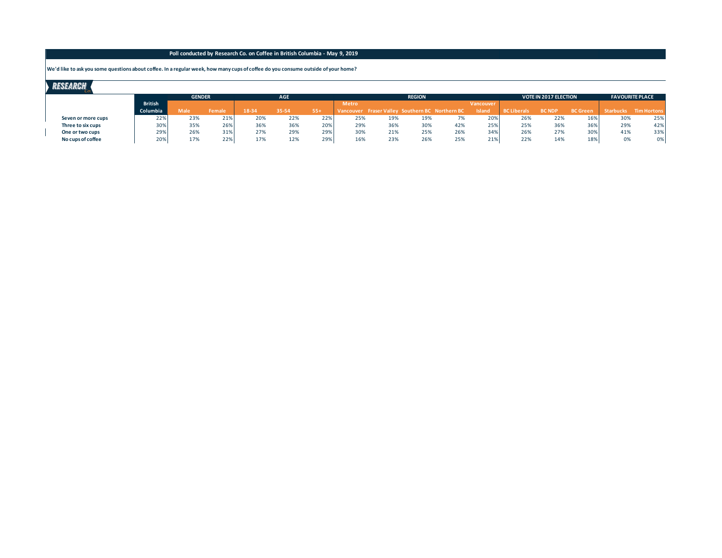#### **We'd like to ask you some questions about coffee. In a regular week, how many cups of coffee do you consume outside of your home?**

|                |      |               | <b>AGE</b>    |       |       |              |     | <b>REGION</b> |            |                                                                             |                          |                    | <b>FAVOURITE PLACE</b> |                              |                       |
|----------------|------|---------------|---------------|-------|-------|--------------|-----|---------------|------------|-----------------------------------------------------------------------------|--------------------------|--------------------|------------------------|------------------------------|-----------------------|
| <b>British</b> |      |               |               |       |       | <b>Metro</b> |     |               |            | Vancouver                                                                   |                          |                    |                        |                              |                       |
| Columbia       | Male | <b>Female</b> | 18-34         | 35-54 | $55+$ |              |     |               |            | <b>Island</b>                                                               |                          | <b>BC NDP</b>      | <b>BC</b> Green        |                              | Starbucks Tim Hortons |
| 22%            | 23%  | 21%           | 20%           | 22%   | 22%   | 25%          | 19% |               | 7%         |                                                                             | 26%                      | 22%                | 16%                    | 30%                          | 25%                   |
| 30%            | 35%  | 26%           | 36%           | 36%   | 20%   | 29%          |     |               | 42%        |                                                                             | 25%                      | 36%                | 36%                    | 29%                          | 42%                   |
| 29%            | 26%  | 31%           | 27%           | 29%   | 29%   | 30%          |     |               | 26%        |                                                                             | 26%                      | 27%                | 30%                    | 41%                          | 33%                   |
| 20%            | 17%  | 22%           | 17%           | 12%   | 29%   | 16%          | 23% |               | 25%        |                                                                             | 22%                      | 14%                | 18%                    | 0%                           | 0%                    |
|                |      |               | <b>GENDER</b> |       |       |              |     |               | 36%<br>21% | Vancouver Fraser Valley Southern BC Northern BC<br>19%<br>30%<br>25%<br>26% | 20%<br>25%<br>34%<br>21% | <b>BC Liberals</b> |                        | <b>VOTE IN 2017 ELECTION</b> |                       |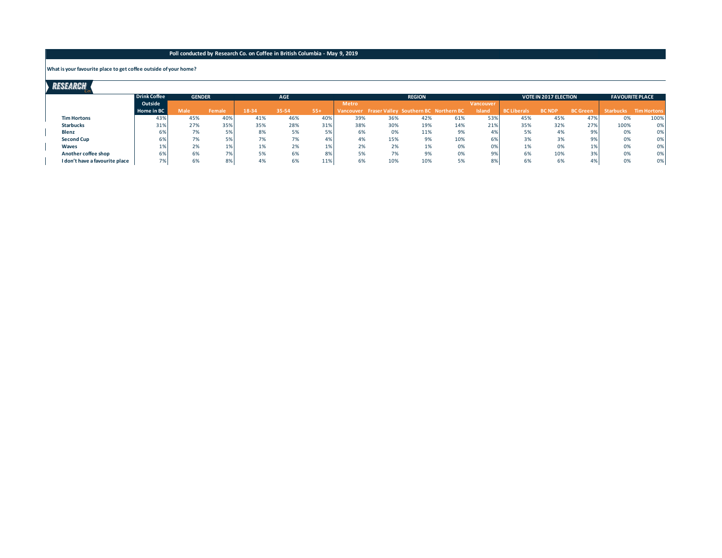#### **What is your favourite place to get coffee outside of your home?**

| RESEARCH                       |                     |               |        |       |            |       |              |     |               |                                                 |           |                    |                              |                        |                  |                    |
|--------------------------------|---------------------|---------------|--------|-------|------------|-------|--------------|-----|---------------|-------------------------------------------------|-----------|--------------------|------------------------------|------------------------|------------------|--------------------|
|                                | <b>Drink Coffee</b> | <b>GENDER</b> |        |       | <b>AGE</b> |       |              |     | <b>REGION</b> |                                                 |           |                    | <b>VOTE IN 2017 ELECTION</b> | <b>FAVOURITE PLACE</b> |                  |                    |
|                                | Outside             |               |        |       |            |       | <b>Metro</b> |     |               |                                                 | Vancouver |                    |                              |                        |                  |                    |
|                                | Home in BC          | <b>Male</b>   | Female | 18-34 | 35-54      | $55+$ |              |     |               | Vancouver Fraser Valley Southern BC Northern BC | Island    | <b>BC Liberals</b> | <b>BC NDP</b>                | <b>BC</b> Green        | <b>Starbucks</b> | <b>Tim Hortons</b> |
| <b>Tim Hortons</b>             | 43%                 | 45%           | 40%    | 41%   | 46%        | 40%   | 39%          | 36% | 42%           | 61%                                             | 53%       | 45%                | 45%                          | 47%                    | 0%               | 100%               |
| <b>Starbucks</b>               | 31%                 | 27%           | 35%    | 35%   | 28%        | 31%   | 38%          | 30% | 19%           | 14%                                             | 21%       | 35%                | 32%                          | 27%                    | 100%             | 0%                 |
| Blenz                          | 6%                  | 7%            | 5%     | 8%    | 5%         | 5%    | 6%           | 0%  | 11%           | 9%                                              | 4%        | 5%                 | 4%                           | 9%                     | 0%               | 0%                 |
| <b>Second Cup</b>              | 6%                  | 7%            | 5%     | 7%    | 7%         | 4%    | 4%           | 15% | 9%            | 10%                                             | 6%        | 3%                 | 3%                           | 9%                     | 0%               | 0%                 |
| Waves                          |                     | 2%            | 1%     | 1%    | 2%         | 1%    | 2%           | 2%  | 1%            | 0%                                              | 0%        | 1%                 | 0%                           | 1%                     | 0%               | 0%                 |
| Another coffee shop            | 6%                  | 6%            | 7%     | 5%    | 6%         | 8%    | 5%           | 7%  | 9%            | 0%                                              | 9%        | 6%                 | 10%                          | 3%                     | 0%               | 0%                 |
| I don't have a favourite place | 7%                  | 6%            | 8%     | 4%    | 6%         | 11%   | 6%           | 10% | 10%           | 5%                                              | 8%        | 6%                 | 6%                           | 4%                     | 0%               | 0%                 |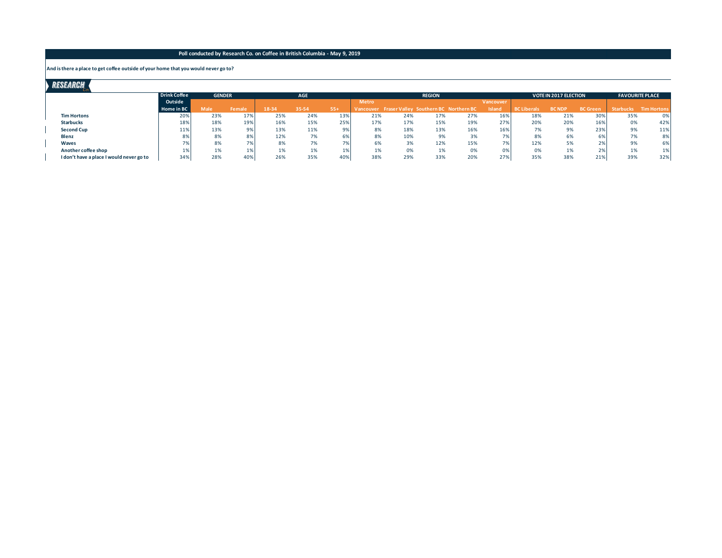#### **And is there a place to get coffee outside of your home that you would never go to?**

 $\overline{a}$ 

| Researgh                                 |                     |                             |            |       |       |        |              |     |               |                                                 |                  |                    |                              |                        |                  |                    |
|------------------------------------------|---------------------|-----------------------------|------------|-------|-------|--------|--------------|-----|---------------|-------------------------------------------------|------------------|--------------------|------------------------------|------------------------|------------------|--------------------|
|                                          | <b>Drink Coffee</b> | <b>GENDER</b><br><b>AGE</b> |            |       |       |        |              |     | <b>REGION</b> |                                                 |                  |                    | <b>VOTE IN 2017 ELECTION</b> | <b>FAVOURITE PLACE</b> |                  |                    |
|                                          | Outside             |                             |            |       |       |        | <b>Metro</b> |     |               |                                                 | <b>Vancouver</b> |                    |                              |                        |                  |                    |
|                                          | Home in BC          | <b>Male</b>                 | Female     | 18-34 | 35-54 | $.55+$ |              |     |               | Vancouver Fraser Valley Southern BC Northern BC | Island           | <b>BC Liberals</b> | <b>BC NDP</b>                | <b>BC</b> Green        | <b>Starbucks</b> | <b>Tim Hortons</b> |
| <b>Tim Hortons</b>                       | 20%                 | 23%                         | 17%        | 25%   | 24%   | 13%    | 21%          | 24% | 17%           | 27%                                             | 16%              | 18%                | 21%                          | 30%                    | 35%              | 0%                 |
| <b>Starbucks</b>                         | 18%                 | 18%                         | 19%        | 16%   | 15%   | 25%    | 17%          | 17% | 15%           | 19%                                             | 27%              | 20%                | 20%                          | 16%                    | 0%               | 42%                |
| <b>Second Cup</b>                        | 11%                 | 13%                         | 9%         | 13%   | 11%   | 9%     | 8%           | 18% | 13%           | 16%                                             | 16%              | 7%                 | 9%                           | 23%                    | 9%               | 11%                |
| Blenz                                    | 8%                  | 8%                          | 8%         | 12%   | 7%    | 6%     | 8%           | 10% | 9%            | 3%                                              | 70/              | 8%                 | 6%                           | 6%                     | 7%               | 8%                 |
| Waves                                    | 7%                  | 8%                          | 7%         | 8%    | 7%    | 7%     | 6%           | 3%  | 12%           | 15%                                             | 701              | 12%                | 5%                           | 2%                     | 9%               | 6%                 |
| Another coffee shop                      | 1%                  | 1%                          | <b>170</b> | 1%    | 1%    | 1%     | 1%           | 0%  | 1%            | 0%                                              | 0%               | 0%                 | 1%                           | 2%                     | 1%               | 1%                 |
| I don't have a place I would never go to | 34%                 | 28%                         | 40%        | 26%   | 35%   | 40%    | 38%          | 29% | 33%           | 20%                                             | 27%              | 35%                | 38%                          | 21%                    | 39%              | 32%                |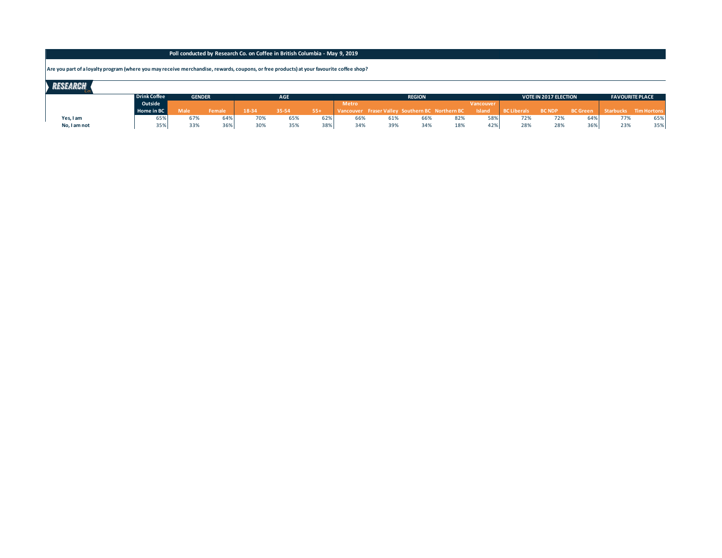## **Are you part of a loyalty program (where you may receive merchandise, rewards, coupons, or free products) at your favourite coffee shop?**

| <b>RESEARCH</b> |              |               |        |            |       |       |              |     |               |                                                 |               |                    |                              |                        |     |                                 |
|-----------------|--------------|---------------|--------|------------|-------|-------|--------------|-----|---------------|-------------------------------------------------|---------------|--------------------|------------------------------|------------------------|-----|---------------------------------|
|                 | Drink Coffee | <b>GENDER</b> |        | <b>AGE</b> |       |       |              |     | <b>REGION</b> |                                                 |               |                    | <b>VOTE IN 2017 ELECTION</b> | <b>FAVOURITE PLACE</b> |     |                                 |
|                 | Outside      |               |        |            |       |       | <b>Metro</b> |     |               |                                                 | Vancouver     |                    |                              |                        |     |                                 |
|                 | Home in BC   | Male          | Female | 18-34      | 35-54 | $55+$ |              |     |               | Vancouver Fraser Valley Southern BC Northern BC | <b>Island</b> | BC Liberals BC NDP |                              |                        |     | BC Green Starbucks Tim Hortons, |
| Yes, I am       | 65%          | 67%           | 64%    | 70%        | 65%   | 62%   | 66%          | 61% | 66%           | 82%                                             | 58%           | 72%                | 72%                          | 64%                    | 77% | 65%                             |
| No, I am not    | 35%          | 33%           | 36%    | 30%        | 35%   | 38%   | 34%          | 39% | 34%           | 18%                                             | 42%           | 28%                | 28%                          | 36%                    | 23% | 35%                             |